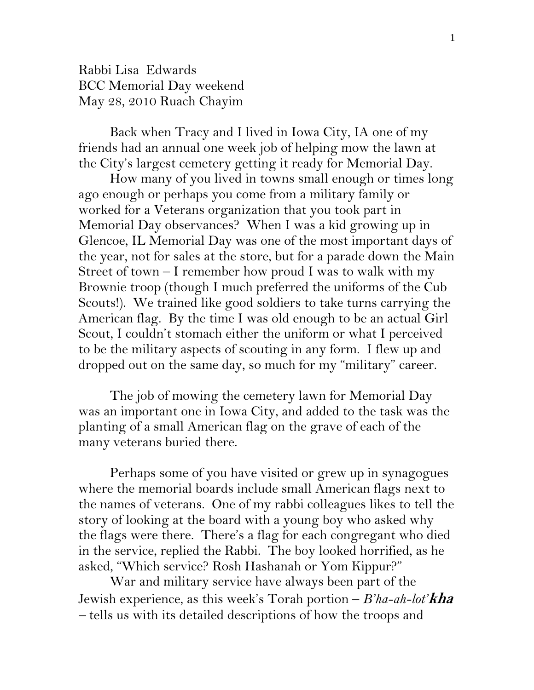Rabbi Lisa Edwards BCC Memorial Day weekend May 28, 2010 Ruach Chayim

Back when Tracy and I lived in Iowa City, IA one of my friends had an annual one week job of helping mow the lawn at the City's largest cemetery getting it ready for Memorial Day.

How many of you lived in towns small enough or times long ago enough or perhaps you come from a military family or worked for a Veterans organization that you took part in Memorial Day observances? When I was a kid growing up in Glencoe, IL Memorial Day was one of the most important days of the year, not for sales at the store, but for a parade down the Main Street of town – I remember how proud I was to walk with my Brownie troop (though I much preferred the uniforms of the Cub Scouts!). We trained like good soldiers to take turns carrying the American flag. By the time I was old enough to be an actual Girl Scout, I couldn't stomach either the uniform or what I perceived to be the military aspects of scouting in any form. I flew up and dropped out on the same day, so much for my "military" career.

The job of mowing the cemetery lawn for Memorial Day was an important one in Iowa City, and added to the task was the planting of a small American flag on the grave of each of the many veterans buried there.

Perhaps some of you have visited or grew up in synagogues where the memorial boards include small American flags next to the names of veterans. One of my rabbi colleagues likes to tell the story of looking at the board with a young boy who asked why the flags were there. There's a flag for each congregant who died in the service, replied the Rabbi. The boy looked horrified, as he asked, "Which service? Rosh Hashanah or Yom Kippur?"

 War and military service have always been part of the Jewish experience, as this week's Torah portion – *B'ha-ah-lot'***kha** *–* tells us with its detailed descriptions of how the troops and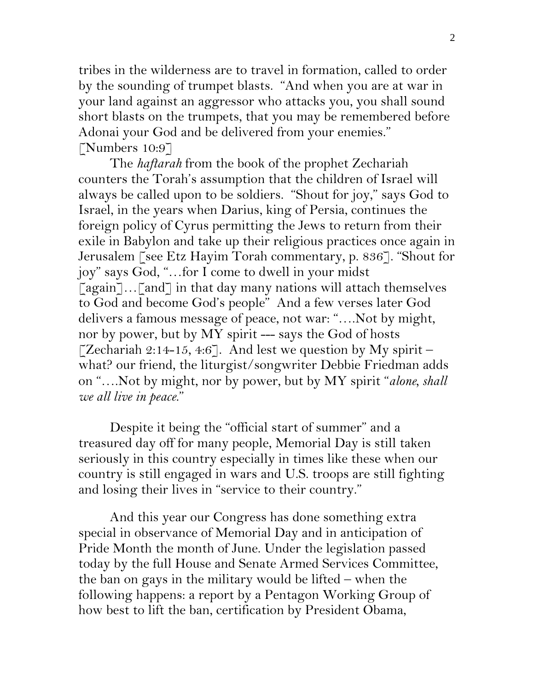tribes in the wilderness are to travel in formation, called to order by the sounding of trumpet blasts. "And when you are at war in your land against an aggressor who attacks you, you shall sound short blasts on the trumpets, that you may be remembered before Adonai your God and be delivered from your enemies." [Numbers 10:9]

 The *haftarah* from the book of the prophet Zechariah counters the Torah's assumption that the children of Israel will always be called upon to be soldiers. "Shout for joy," says God to Israel, in the years when Darius, king of Persia, continues the foreign policy of Cyrus permitting the Jews to return from their exile in Babylon and take up their religious practices once again in Jerusalem [see Etz Hayim Torah commentary, p. 836]. "Shout for joy" says God, "…for I come to dwell in your midst  $\lceil \text{again} \rceil \dots \lceil \text{and} \rceil$  in that day many nations will attach themselves to God and become God's people" And a few verses later God delivers a famous message of peace, not war: "….Not by might, nor by power, but by MY spirit --- says the God of hosts [Zechariah 2:14-15, 4:6]. And lest we question by My spirit – what? our friend, the liturgist/songwriter Debbie Friedman adds on "….Not by might, nor by power, but by MY spirit "*alone, shall we all live in peace*."

 Despite it being the "official start of summer" and a treasured day off for many people, Memorial Day is still taken seriously in this country especially in times like these when our country is still engaged in wars and U.S. troops are still fighting and losing their lives in "service to their country."

And this year our Congress has done something extra special in observance of Memorial Day and in anticipation of Pride Month the month of June. Under the legislation passed today by the full House and Senate Armed Services Committee, the ban on gays in the military would be lifted – when the following happens: a report by a Pentagon Working Group of how best to lift the ban, certification by President Obama,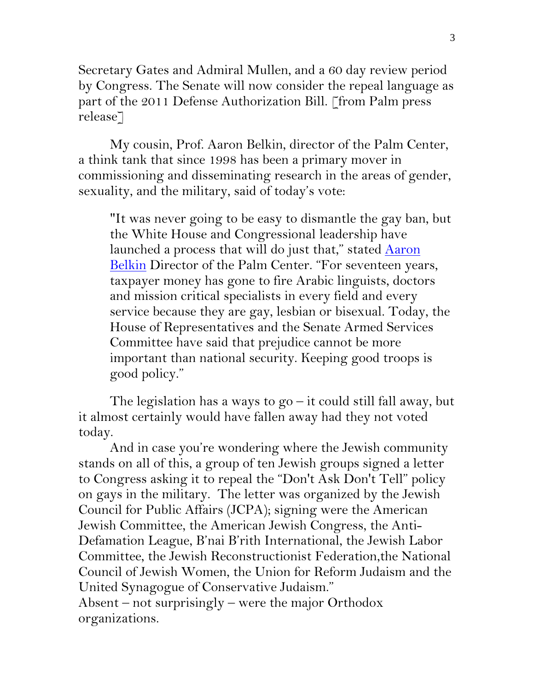Secretary Gates and Admiral Mullen, and a 60 day review period by Congress. The Senate will now consider the repeal language as part of the 2011 Defense Authorization Bill. [from Palm press release]

My cousin, Prof. Aaron Belkin, director of the Palm Center, a think tank that since 1998 has been a primary mover in commissioning and disseminating research in the areas of gender, sexuality, and the military, said of today's vote:

"It was never going to be easy to dismantle the gay ban, but the White House and Congressional leadership have launched a process that will do just that," stated  $\frac{\text{Aaron}}{\text{Aaron}}$ [Belkin](http://www.huffingtonpost.com/aaron-belkin/shalikashvili-fires-back_b_591368.html) Director of the Palm Center. "For seventeen years, taxpayer money has gone to fire Arabic linguists, doctors and mission critical specialists in every field and every service because they are gay, lesbian or bisexual. Today, the House of Representatives and the Senate Armed Services Committee have said that prejudice cannot be more important than national security. Keeping good troops is good policy."

The legislation has a ways to  $g_0$  – it could still fall away, but it almost certainly would have fallen away had they not voted today.

 And in case you're wondering where the Jewish community stands on all of this, a group of ten Jewish groups signed a letter to Congress asking it to repeal the "Don't Ask Don't Tell" policy on gays in the military. The letter was organized by the Jewish Council for Public Affairs (JCPA); signing were the American Jewish Committee, the American Jewish Congress, the Anti-Defamation League, B'nai B'rith International, the Jewish Labor Committee, the Jewish Reconstructionist Federation,the National Council of Jewish Women, the Union for Reform Judaism and the United Synagogue of Conservative Judaism."

Absent – not surprisingly – were the major Orthodox organizations.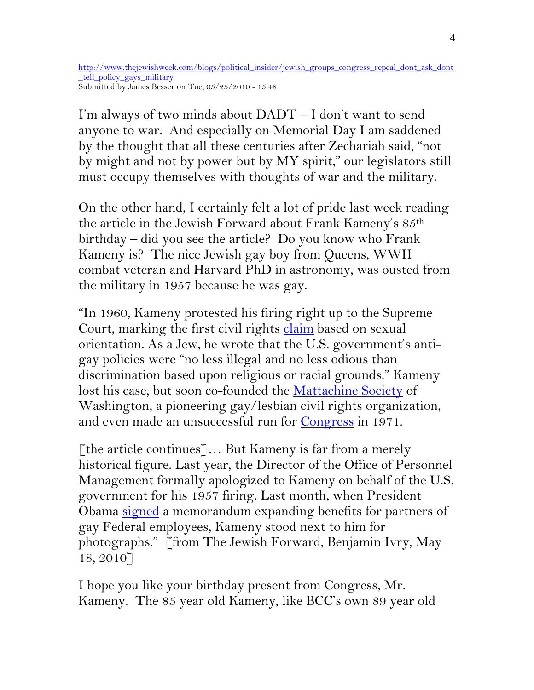[http://www.thejewishweek.com/blogs/political\\_insider/jewish\\_groups\\_congress\\_repeal\\_dont\\_ask\\_dont](http://www.thejewishweek.com/blogs/political_insider/jewish_groups_congress_repeal_dont_ask_dont_tell_policy_gays_military) tell policy gays military Submitted by James Besser on Tue, 05/25/2010 - 15:48

I'm always of two minds about DADT – I don't want to send anyone to war. And especially on Memorial Day I am saddened by the thought that all these centuries after Zechariah said, "not by might and not by power but by MY spirit," our legislators still must occupy themselves with thoughts of war and the military.

On the other hand, I certainly felt a lot of pride last week reading the article in the Jewish Forward about Frank Kameny's 85th birthday – did you see the article? Do you know who Frank Kameny is? The nice Jewish gay boy from Queens, WWII combat veteran and Harvard PhD in astronomy, was ousted from the military in 1957 because he was gay.

"In 1960, Kameny protested his firing right up to the Supreme Court, marking the first civil rights [claim](http://www.rainbowhistory.org/kamenywrit.htm) based on sexual orientation. As a Jew, he wrote that the U.S. government's antigay policies were "no less illegal and no less odious than discrimination based upon religious or racial grounds." Kameny lost his case, but soon co-founded the [Mattachine Society](http://en.wikipedia.org/wiki/Mattachine_Society) of Washington, a pioneering gay/lesbian civil rights organization, and even made an unsuccessful run for [Congress](http://www.rainbowhistory.org/kamenycampaign.jpg) in 1971.

[the article continues]… But Kameny is far from a merely historical figure. Last year, the Director of the Office of Personnel Management formally apologized to Kameny on behalf of the U.S. government for his 1957 firing. Last month, when President Obama [signed](http://www.youtube.com/watch?v=WcM8J5HzUWM) a memorandum expanding benefits for partners of gay Federal employees, Kameny stood next to him for photographs." [from The Jewish Forward, Benjamin Ivry, May 18, 2010]

I hope you like your birthday present from Congress, Mr. Kameny. The 85 year old Kameny, like BCC's own 89 year old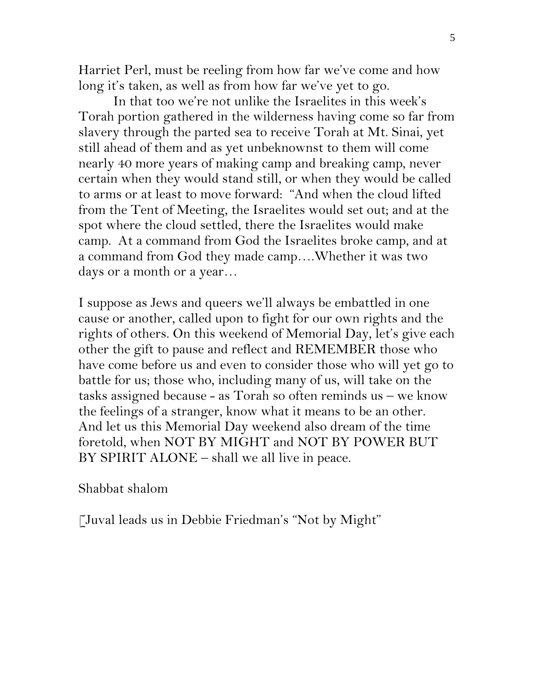Harriet Perl, must be reeling from how far we've come and how long it's taken, as well as from how far we've yet to go.

 In that too we're not unlike the Israelites in this week's Torah portion gathered in the wilderness having come so far from slavery through the parted sea to receive Torah at Mt. Sinai, yet still ahead of them and as yet unbeknownst to them will come nearly 40 more years of making camp and breaking camp, never certain when they would stand still, or when they would be called to arms or at least to move forward: "And when the cloud lifted from the Tent of Meeting, the Israelites would set out; and at the spot where the cloud settled, there the Israelites would make camp. At a command from God the Israelites broke camp, and at a command from God they made camp….Whether it was two days or a month or a year…

I suppose as Jews and queers we'll always be embattled in one cause or another, called upon to fight for our own rights and the rights of others. On this weekend of Memorial Day, let's give each other the gift to pause and reflect and REMEMBER those who have come before us and even to consider those who will yet go to battle for us; those who, including many of us, will take on the tasks assigned because - as Torah so often reminds us – we know the feelings of a stranger, know what it means to be an other. And let us this Memorial Day weekend also dream of the time foretold, when NOT BY MIGHT and NOT BY POWER BUT BY SPIRIT ALONE – shall we all live in peace.

Shabbat shalom

[Juval leads us in Debbie Friedman's "Not by Might"